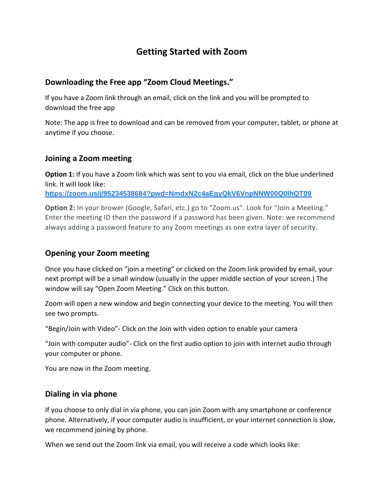# **Getting Started with Zoom**

### **Downloading the Free app "Zoom Cloud Meetings."**

If you have a Zoom link through an email, click on the link and you will be prompted to download the free app

Note: The app is free to download and can be removed from your computer, tablet, or phone at anytime if you choose.

#### **Joining a Zoom meeting**

**Option 1:** If you have a Zoom link which was sent to you via email, click on the blue underlined link. It will look like:

**[https://zoom.us/j/95234538684?pwd=NmdxN2c4aEgyQkV6VnpNNW00Q0lhQT09](https://www.google.com/url?q=https://zoom.us/j/95234538684?pwd%3DNmdxN2c4aEgyQkV6VnpNNW00Q0lhQT09&sa=D&ust=1589383857357000&usg=AOvVaw03GL2jKeh3qH3_51ORI6ii)**

**Option 2:** In your brower (Google, Safari, etc.) go to "Zoom.us". Look for "Join a Meeting." Enter the meeting ID then the password if a password has been given. Note: we recommend always adding a password feature to any Zoom meetings as one extra layer of security.

### **Opening your Zoom meeting**

Once you have clicked on "join a meeting" or clicked on the Zoom link provided by email, your next prompt will be a small window (usually in the upper middle section of your screen.) The window will say "Open Zoom Meeting." Click on this button.

Zoom will open a new window and begin connecting your device to the meeting. You will then see two prompts.

"Begin/Join with Video"- Click on the Join with video option to enable your camera

"Join with computer audio"- Click on the first audio option to join with internet audio through your computer or phone.

You are now in the Zoom meeting.

#### **Dialing in via phone**

If you choose to only dial in via phone, you can join Zoom with any smartphone or conference phone. Alternatively, if your computer audio is insufficient, or your internet connection is slow, we recommend joining by phone.

When we send out the Zoom link via email, you will receive a code which looks like: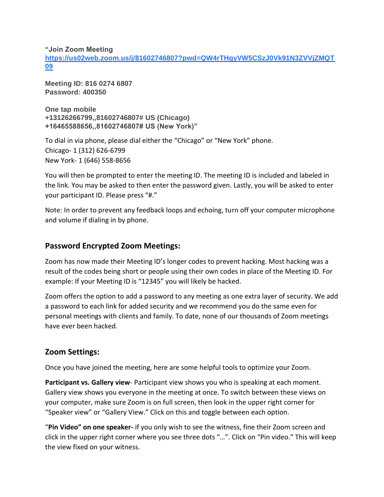**"Join Zoom Meeting**

**[https://us02web.zoom.us/j/81602746807?pwd=QW4rTHgyVW5CSzJ0Vk91N3ZVVjZMQT](https://www.google.com/url?q=https://us02web.zoom.us/j/81602746807?pwd%3DQW4rTHgyVW5CSzJ0Vk91N3ZVVjZMQT09&sa=D&ust=1589383857357000&usg=AOvVaw3nEAilL86GmiYxd5YjeNPQ) [09](https://www.google.com/url?q=https://us02web.zoom.us/j/81602746807?pwd%3DQW4rTHgyVW5CSzJ0Vk91N3ZVVjZMQT09&sa=D&ust=1589383857357000&usg=AOvVaw3nEAilL86GmiYxd5YjeNPQ)**

**Meeting ID: 816 0274 6807 Password: 400350**

**One tap mobile +13126266799,,81602746807# US (Chicago) +16465588656,,81602746807# US (New York)"**

To dial in via phone, please dial either the "Chicago" or "New York" phone. Chicago- 1 (312) 626-6799 New York- 1 (646) 558-8656

You will then be prompted to enter the meeting ID. The meeting ID is included and labeled in the link. You may be asked to then enter the password given. Lastly, you will be asked to enter your participant ID. Please press "#."

Note: In order to prevent any feedback loops and echoing, turn off your computer microphone and volume if dialing in by phone.

# **Password Encrypted Zoom Meetings:**

Zoom has now made their Meeting ID's longer codes to prevent hacking. Most hacking was a result of the codes being short or people using their own codes in place of the Meeting ID. For example: If your Meeting ID is "12345" you will likely be hacked.

Zoom offers the option to add a password to any meeting as one extra layer of security. We add a password to each link for added security and we recommend you do the same even for personal meetings with clients and family. To date, none of our thousands of Zoom meetings have ever been hacked.

# **Zoom Settings:**

Once you have joined the meeting, here are some helpful tools to optimize your Zoom.

**Participant vs. Gallery view**- Participant view shows you who is speaking at each moment. Gallery view shows you everyone in the meeting at once. To switch between these views on your computer, make sure Zoom is on full screen, then look in the upper right corner for "Speaker view" or "Gallery View." Click on this and toggle between each option.

"**Pin Video" on one speaker-** if you only wish to see the witness, fine their Zoom screen and click in the upper right corner where you see three dots "…". Click on "Pin video." This will keep the view fixed on your witness.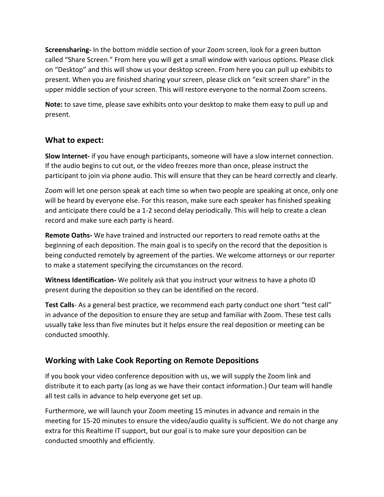**Screensharing-** In the bottom middle section of your Zoom screen, look for a green button called "Share Screen." From here you will get a small window with various options. Please click on "Desktop" and this will show us your desktop screen. From here you can pull up exhibits to present. When you are finished sharing your screen, please click on "exit screen share" in the upper middle section of your screen. This will restore everyone to the normal Zoom screens.

**Note:** to save time, please save exhibits onto your desktop to make them easy to pull up and present.

### **What to expect:**

**Slow Internet-** if you have enough participants, someone will have a slow internet connection. If the audio begins to cut out, or the video freezes more than once, please instruct the participant to join via phone audio. This will ensure that they can be heard correctly and clearly.

Zoom will let one person speak at each time so when two people are speaking at once, only one will be heard by everyone else. For this reason, make sure each speaker has finished speaking and anticipate there could be a 1-2 second delay periodically. This will help to create a clean record and make sure each party is heard.

**Remote Oaths-** We have trained and instructed our reporters to read remote oaths at the beginning of each deposition. The main goal is to specify on the record that the deposition is being conducted remotely by agreement of the parties. We welcome attorneys or our reporter to make a statement specifying the circumstances on the record.

**Witness Identification-** We politely ask that you instruct your witness to have a photo ID present during the deposition so they can be identified on the record.

**Test Calls**- As a general best practice, we recommend each party conduct one short "test call" in advance of the deposition to ensure they are setup and familiar with Zoom. These test calls usually take less than five minutes but it helps ensure the real deposition or meeting can be conducted smoothly.

# **Working with Lake Cook Reporting on Remote Depositions**

If you book your video conference deposition with us, we will supply the Zoom link and distribute it to each party (as long as we have their contact information.) Our team will handle all test calls in advance to help everyone get set up.

Furthermore, we will launch your Zoom meeting 15 minutes in advance and remain in the meeting for 15-20 minutes to ensure the video/audio quality is sufficient. We do not charge any extra for this Realtime IT support, but our goal is to make sure your deposition can be conducted smoothly and efficiently.